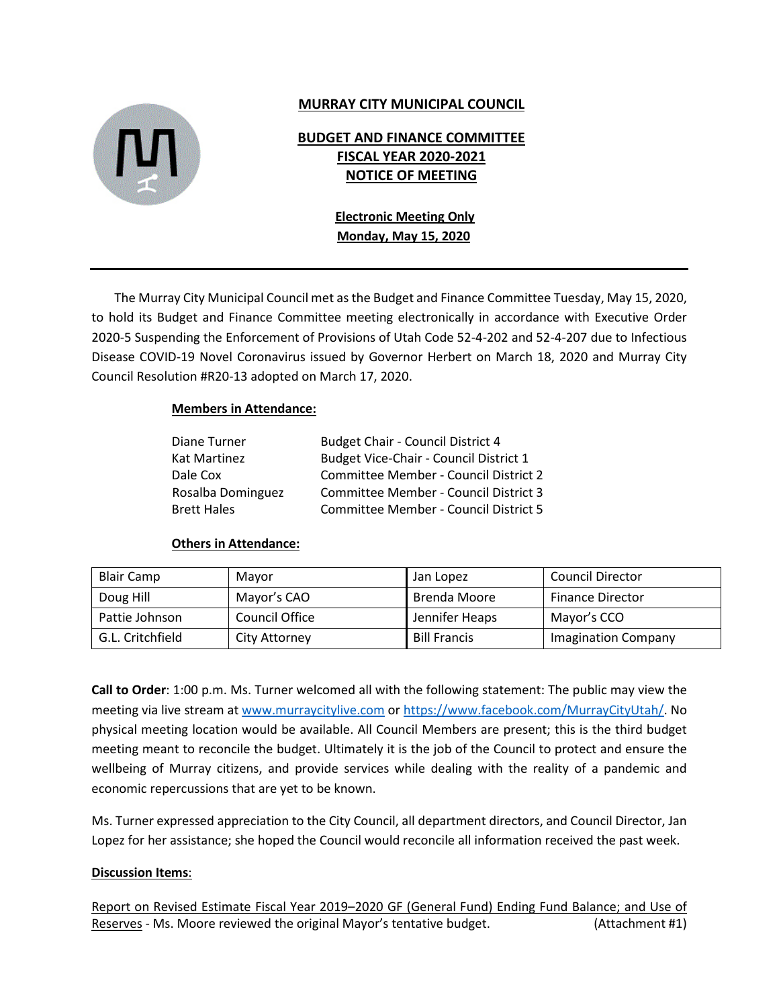

#### **MURRAY CITY MUNICIPAL COUNCIL**

### **BUDGET AND FINANCE COMMITTEE FISCAL YEAR 2020-2021 NOTICE OF MEETING**

#### **Electronic Meeting Only Monday, May 15, 2020**

The Murray City Municipal Council met as the Budget and Finance Committee Tuesday, May 15, 2020, to hold its Budget and Finance Committee meeting electronically in accordance with Executive Order 2020-5 Suspending the Enforcement of Provisions of Utah Code 52-4-202 and 52-4-207 due to Infectious Disease COVID-19 Novel Coronavirus issued by Governor Herbert on March 18, 2020 and Murray City Council Resolution #R20-13 adopted on March 17, 2020.

#### **Members in Attendance:**

| Diane Turner      | Budget Chair - Council District 4      |
|-------------------|----------------------------------------|
| Kat Martinez      | Budget Vice-Chair - Council District 1 |
| Dale Cox          | Committee Member - Council District 2  |
| Rosalba Dominguez | Committee Member - Council District 3  |
| Brett Hales       | Committee Member - Council District 5  |

#### **Others in Attendance:**

| <b>Blair Camp</b> | Mayor                 | Jan Lopez           | <b>Council Director</b>    |
|-------------------|-----------------------|---------------------|----------------------------|
| Doug Hill         | Mayor's CAO           | Brenda Moore        | <b>Finance Director</b>    |
| Pattie Johnson    | <b>Council Office</b> | Jennifer Heaps      | Mayor's CCO                |
| G.L. Critchfield  | City Attorney         | <b>Bill Francis</b> | <b>Imagination Company</b> |

**Call to Order**: 1:00 p.m. Ms. Turner welcomed all with the following statement: The public may view the meeting via live stream at [www.murraycitylive.com](http://www.murraycitylive.com/) or [https://www.facebook.com/MurrayCityUtah/.](https://www.facebook.com/MurrayCityUtah/) No physical meeting location would be available. All Council Members are present; this is the third budget meeting meant to reconcile the budget. Ultimately it is the job of the Council to protect and ensure the wellbeing of Murray citizens, and provide services while dealing with the reality of a pandemic and economic repercussions that are yet to be known.

Ms. Turner expressed appreciation to the City Council, all department directors, and Council Director, Jan Lopez for her assistance; she hoped the Council would reconcile all information received the past week.

#### **Discussion Items**:

Report on Revised Estimate Fiscal Year 2019–2020 GF (General Fund) Ending Fund Balance; and Use of Reserves - Ms. Moore reviewed the original Mayor's tentative budget. (Attachment #1)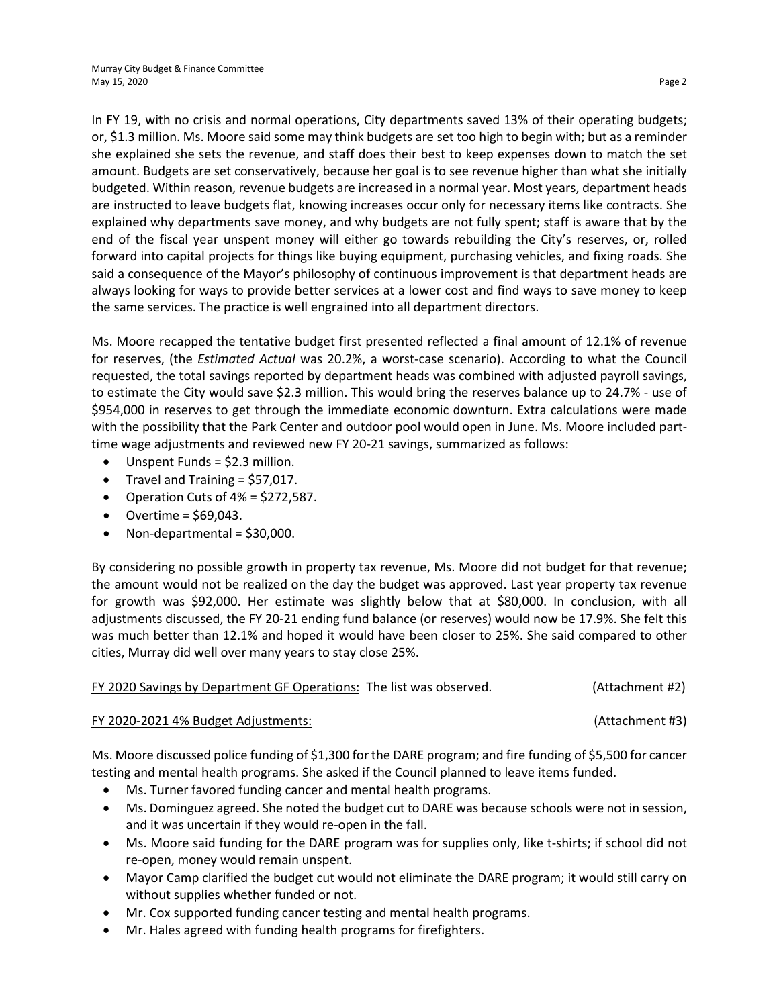In FY 19, with no crisis and normal operations, City departments saved 13% of their operating budgets; or, \$1.3 million. Ms. Moore said some may think budgets are set too high to begin with; but as a reminder she explained she sets the revenue, and staff does their best to keep expenses down to match the set amount. Budgets are set conservatively, because her goal is to see revenue higher than what she initially budgeted. Within reason, revenue budgets are increased in a normal year. Most years, department heads are instructed to leave budgets flat, knowing increases occur only for necessary items like contracts. She explained why departments save money, and why budgets are not fully spent; staff is aware that by the end of the fiscal year unspent money will either go towards rebuilding the City's reserves, or, rolled forward into capital projects for things like buying equipment, purchasing vehicles, and fixing roads. She said a consequence of the Mayor's philosophy of continuous improvement is that department heads are always looking for ways to provide better services at a lower cost and find ways to save money to keep the same services. The practice is well engrained into all department directors.

Ms. Moore recapped the tentative budget first presented reflected a final amount of 12.1% of revenue for reserves, (the *Estimated Actual* was 20.2%, a worst-case scenario). According to what the Council requested, the total savings reported by department heads was combined with adjusted payroll savings, to estimate the City would save \$2.3 million. This would bring the reserves balance up to 24.7% - use of \$954,000 in reserves to get through the immediate economic downturn. Extra calculations were made with the possibility that the Park Center and outdoor pool would open in June. Ms. Moore included parttime wage adjustments and reviewed new FY 20-21 savings, summarized as follows:

- Unspent Funds =  $$2.3$  million.
- Travel and Training  $=$  \$57,017.
- Operation Cuts of  $4\% = $272,587$ .
- $\bullet$  Overtime = \$69,043.
- Non-departmental = \$30,000.

By considering no possible growth in property tax revenue, Ms. Moore did not budget for that revenue; the amount would not be realized on the day the budget was approved. Last year property tax revenue for growth was \$92,000. Her estimate was slightly below that at \$80,000. In conclusion, with all adjustments discussed, the FY 20-21 ending fund balance (or reserves) would now be 17.9%. She felt this was much better than 12.1% and hoped it would have been closer to 25%. She said compared to other cities, Murray did well over many years to stay close 25%.

|  | FY 2020 Savings by Department GF Operations: The list was observed. |  | (Attachment #2) |
|--|---------------------------------------------------------------------|--|-----------------|
|--|---------------------------------------------------------------------|--|-----------------|

#### FY 2020-2021 4% Budget Adjustments: (Attachment #3)

Ms. Moore discussed police funding of \$1,300 for the DARE program; and fire funding of \$5,500 for cancer testing and mental health programs. She asked if the Council planned to leave items funded.

- Ms. Turner favored funding cancer and mental health programs.
- Ms. Dominguez agreed. She noted the budget cut to DARE was because schools were not in session, and it was uncertain if they would re-open in the fall.
- Ms. Moore said funding for the DARE program was for supplies only, like t-shirts; if school did not re-open, money would remain unspent.
- Mayor Camp clarified the budget cut would not eliminate the DARE program; it would still carry on without supplies whether funded or not.
- Mr. Cox supported funding cancer testing and mental health programs.
- Mr. Hales agreed with funding health programs for firefighters.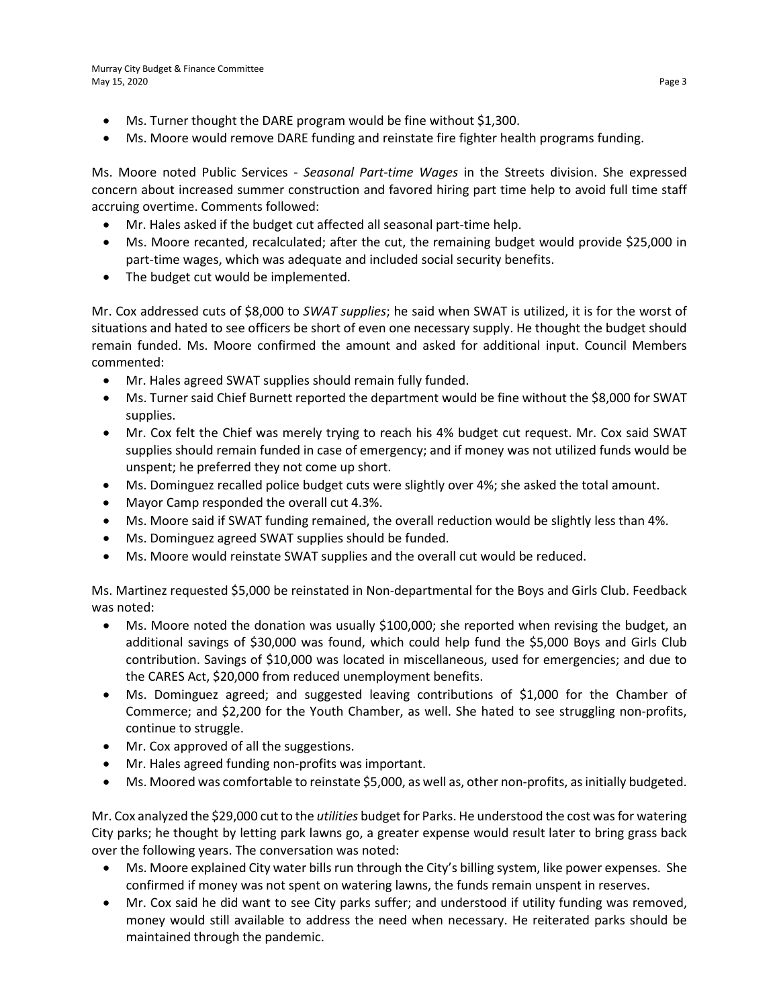- Ms. Turner thought the DARE program would be fine without \$1,300.
- Ms. Moore would remove DARE funding and reinstate fire fighter health programs funding.

Ms. Moore noted Public Services - *Seasonal Part-time Wages* in the Streets division. She expressed concern about increased summer construction and favored hiring part time help to avoid full time staff accruing overtime. Comments followed:

- Mr. Hales asked if the budget cut affected all seasonal part-time help.
- Ms. Moore recanted, recalculated; after the cut, the remaining budget would provide \$25,000 in part-time wages, which was adequate and included social security benefits.
- The budget cut would be implemented.

Mr. Cox addressed cuts of \$8,000 to *SWAT supplies*; he said when SWAT is utilized, it is for the worst of situations and hated to see officers be short of even one necessary supply. He thought the budget should remain funded. Ms. Moore confirmed the amount and asked for additional input. Council Members commented:

- Mr. Hales agreed SWAT supplies should remain fully funded.
- Ms. Turner said Chief Burnett reported the department would be fine without the \$8,000 for SWAT supplies.
- Mr. Cox felt the Chief was merely trying to reach his 4% budget cut request. Mr. Cox said SWAT supplies should remain funded in case of emergency; and if money was not utilized funds would be unspent; he preferred they not come up short.
- Ms. Dominguez recalled police budget cuts were slightly over 4%; she asked the total amount.
- Mayor Camp responded the overall cut 4.3%.
- Ms. Moore said if SWAT funding remained, the overall reduction would be slightly less than 4%.
- Ms. Dominguez agreed SWAT supplies should be funded.
- Ms. Moore would reinstate SWAT supplies and the overall cut would be reduced.

Ms. Martinez requested \$5,000 be reinstated in Non-departmental for the Boys and Girls Club. Feedback was noted:

- Ms. Moore noted the donation was usually \$100,000; she reported when revising the budget, an additional savings of \$30,000 was found, which could help fund the \$5,000 Boys and Girls Club contribution. Savings of \$10,000 was located in miscellaneous, used for emergencies; and due to the CARES Act, \$20,000 from reduced unemployment benefits.
- Ms. Dominguez agreed; and suggested leaving contributions of \$1,000 for the Chamber of Commerce; and \$2,200 for the Youth Chamber, as well. She hated to see struggling non-profits, continue to struggle.
- Mr. Cox approved of all the suggestions.
- Mr. Hales agreed funding non-profits was important.
- Ms. Moored was comfortable to reinstate \$5,000, as well as, other non-profits, as initially budgeted.

Mr. Cox analyzed the \$29,000 cut to the *utilities* budget for Parks. He understood the cost was for watering City parks; he thought by letting park lawns go, a greater expense would result later to bring grass back over the following years. The conversation was noted:

- Ms. Moore explained City water bills run through the City's billing system, like power expenses. She confirmed if money was not spent on watering lawns, the funds remain unspent in reserves.
- Mr. Cox said he did want to see City parks suffer; and understood if utility funding was removed, money would still available to address the need when necessary. He reiterated parks should be maintained through the pandemic.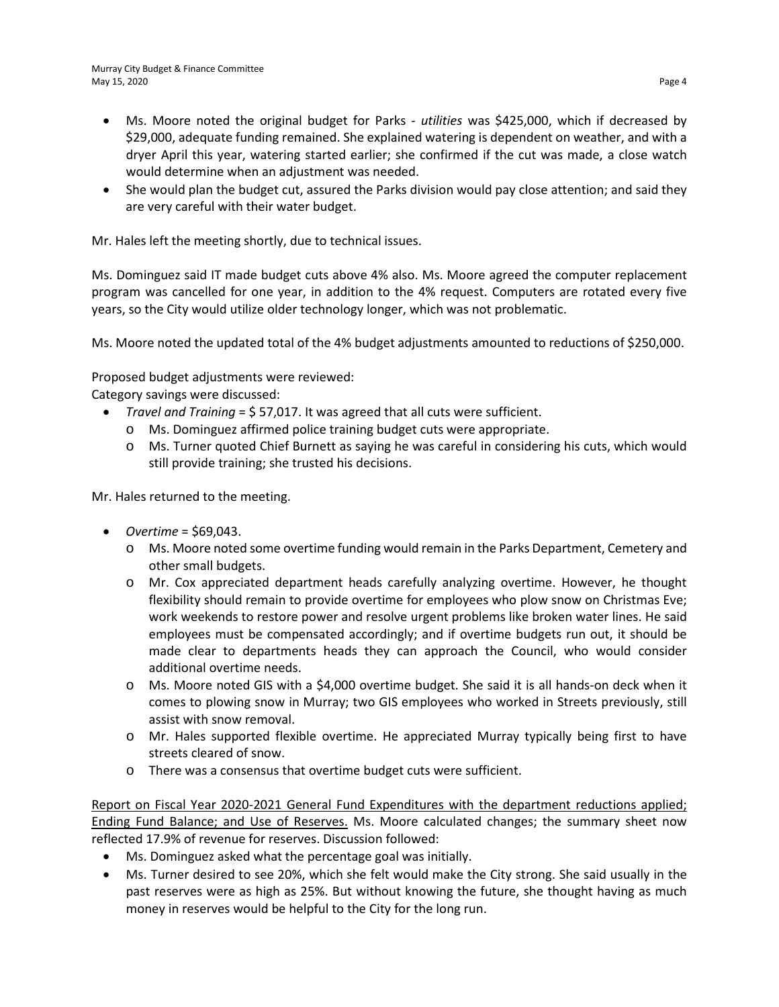- Ms. Moore noted the original budget for Parks *utilities* was \$425,000, which if decreased by \$29,000, adequate funding remained. She explained watering is dependent on weather, and with a dryer April this year, watering started earlier; she confirmed if the cut was made, a close watch would determine when an adjustment was needed.
- She would plan the budget cut, assured the Parks division would pay close attention; and said they are very careful with their water budget.

Mr. Hales left the meeting shortly, due to technical issues.

Ms. Dominguez said IT made budget cuts above 4% also. Ms. Moore agreed the computer replacement program was cancelled for one year, in addition to the 4% request. Computers are rotated every five years, so the City would utilize older technology longer, which was not problematic.

Ms. Moore noted the updated total of the 4% budget adjustments amounted to reductions of \$250,000.

Proposed budget adjustments were reviewed:

Category savings were discussed:

- *Travel and Training* = \$ 57,017. It was agreed that all cuts were sufficient.
	- o Ms. Dominguez affirmed police training budget cuts were appropriate.
	- o Ms. Turner quoted Chief Burnett as saying he was careful in considering his cuts, which would still provide training; she trusted his decisions.

Mr. Hales returned to the meeting.

- *Overtime* = \$69,043.
	- o Ms. Moore noted some overtime funding would remain in the Parks Department, Cemetery and other small budgets.
	- o Mr. Cox appreciated department heads carefully analyzing overtime. However, he thought flexibility should remain to provide overtime for employees who plow snow on Christmas Eve; work weekends to restore power and resolve urgent problems like broken water lines. He said employees must be compensated accordingly; and if overtime budgets run out, it should be made clear to departments heads they can approach the Council, who would consider additional overtime needs.
	- o Ms. Moore noted GIS with a \$4,000 overtime budget. She said it is all hands-on deck when it comes to plowing snow in Murray; two GIS employees who worked in Streets previously, still assist with snow removal.
	- o Mr. Hales supported flexible overtime. He appreciated Murray typically being first to have streets cleared of snow.
	- o There was a consensus that overtime budget cuts were sufficient.

Report on Fiscal Year 2020-2021 General Fund Expenditures with the department reductions applied; Ending Fund Balance; and Use of Reserves. Ms. Moore calculated changes; the summary sheet now reflected 17.9% of revenue for reserves. Discussion followed:

- Ms. Dominguez asked what the percentage goal was initially.
- Ms. Turner desired to see 20%, which she felt would make the City strong. She said usually in the past reserves were as high as 25%. But without knowing the future, she thought having as much money in reserves would be helpful to the City for the long run.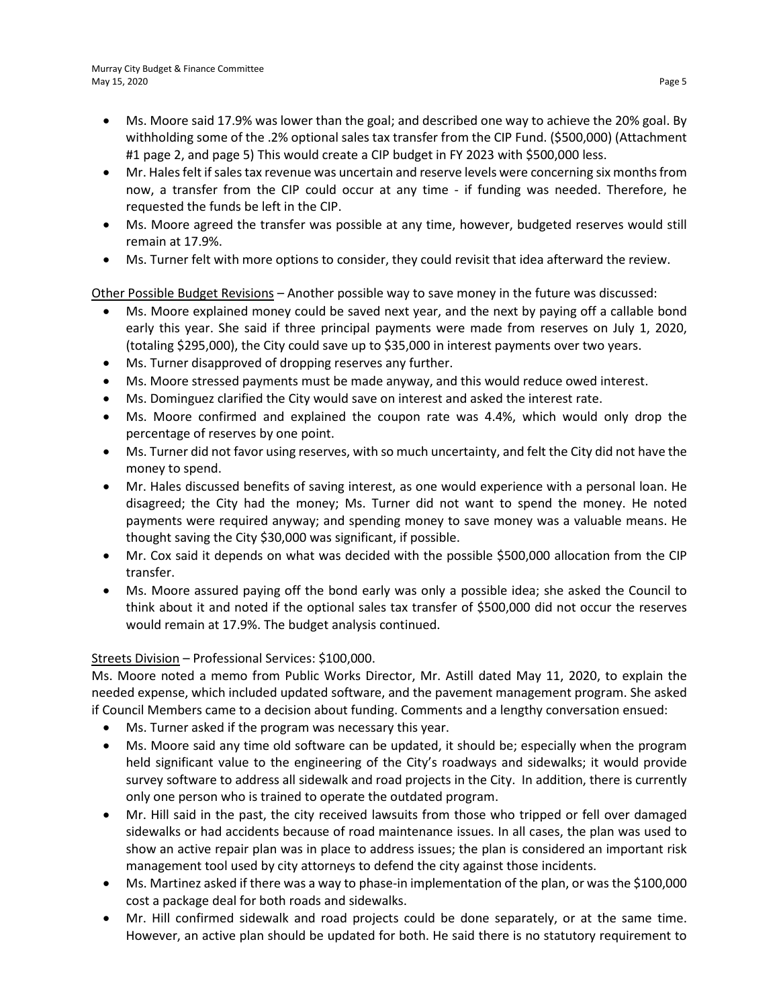- Ms. Moore said 17.9% was lower than the goal; and described one way to achieve the 20% goal. By withholding some of the .2% optional sales tax transfer from the CIP Fund. (\$500,000) (Attachment #1 page 2, and page 5) This would create a CIP budget in FY 2023 with \$500,000 less.
- Mr. Hales felt if sales tax revenue was uncertain and reserve levels were concerning six months from now, a transfer from the CIP could occur at any time - if funding was needed. Therefore, he requested the funds be left in the CIP.
- Ms. Moore agreed the transfer was possible at any time, however, budgeted reserves would still remain at 17.9%.
- Ms. Turner felt with more options to consider, they could revisit that idea afterward the review.

Other Possible Budget Revisions – Another possible way to save money in the future was discussed:

- Ms. Moore explained money could be saved next year, and the next by paying off a callable bond early this year. She said if three principal payments were made from reserves on July 1, 2020, (totaling \$295,000), the City could save up to \$35,000 in interest payments over two years.
- Ms. Turner disapproved of dropping reserves any further.
- Ms. Moore stressed payments must be made anyway, and this would reduce owed interest.
- Ms. Dominguez clarified the City would save on interest and asked the interest rate.
- Ms. Moore confirmed and explained the coupon rate was 4.4%, which would only drop the percentage of reserves by one point.
- Ms. Turner did not favor using reserves, with so much uncertainty, and felt the City did not have the money to spend.
- Mr. Hales discussed benefits of saving interest, as one would experience with a personal loan. He disagreed; the City had the money; Ms. Turner did not want to spend the money. He noted payments were required anyway; and spending money to save money was a valuable means. He thought saving the City \$30,000 was significant, if possible.
- Mr. Cox said it depends on what was decided with the possible \$500,000 allocation from the CIP transfer.
- Ms. Moore assured paying off the bond early was only a possible idea; she asked the Council to think about it and noted if the optional sales tax transfer of \$500,000 did not occur the reserves would remain at 17.9%. The budget analysis continued.

#### Streets Division – Professional Services: \$100,000.

Ms. Moore noted a memo from Public Works Director, Mr. Astill dated May 11, 2020, to explain the needed expense, which included updated software, and the pavement management program. She asked if Council Members came to a decision about funding. Comments and a lengthy conversation ensued:

- Ms. Turner asked if the program was necessary this year.
- Ms. Moore said any time old software can be updated, it should be; especially when the program held significant value to the engineering of the City's roadways and sidewalks; it would provide survey software to address all sidewalk and road projects in the City. In addition, there is currently only one person who is trained to operate the outdated program.
- Mr. Hill said in the past, the city received lawsuits from those who tripped or fell over damaged sidewalks or had accidents because of road maintenance issues. In all cases, the plan was used to show an active repair plan was in place to address issues; the plan is considered an important risk management tool used by city attorneys to defend the city against those incidents.
- Ms. Martinez asked if there was a way to phase-in implementation of the plan, or was the \$100,000 cost a package deal for both roads and sidewalks.
- Mr. Hill confirmed sidewalk and road projects could be done separately, or at the same time. However, an active plan should be updated for both. He said there is no statutory requirement to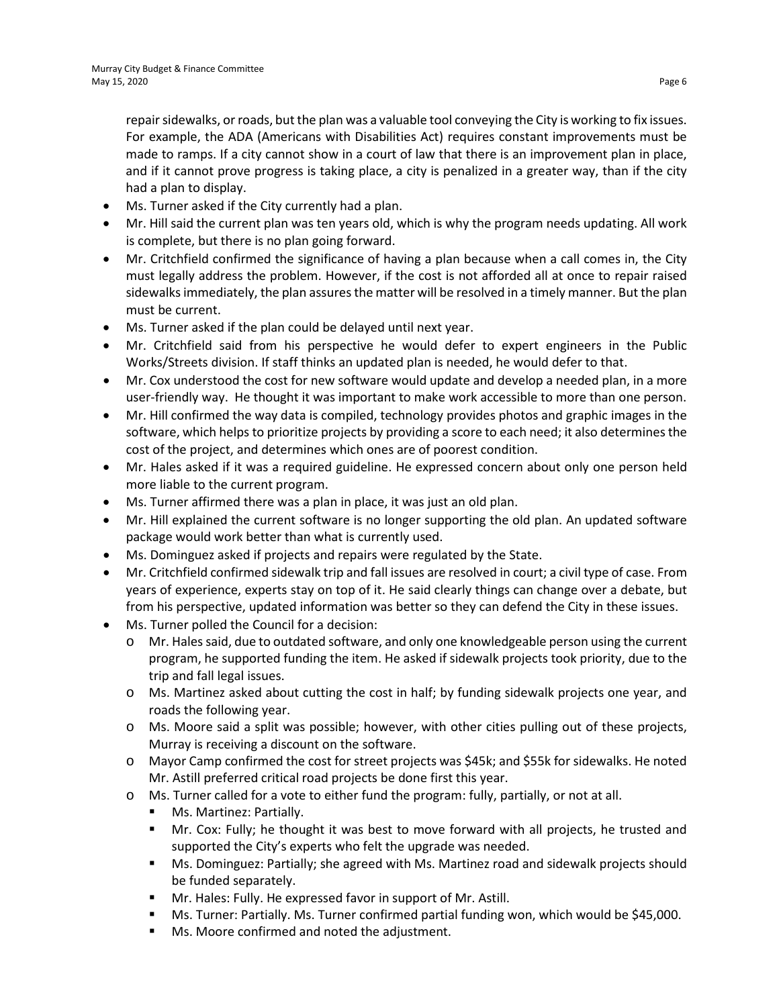repair sidewalks, or roads, but the plan was a valuable tool conveying the City is working to fix issues. For example, the ADA (Americans with Disabilities Act) requires constant improvements must be made to ramps. If a city cannot show in a court of law that there is an improvement plan in place, and if it cannot prove progress is taking place, a city is penalized in a greater way, than if the city had a plan to display.

- Ms. Turner asked if the City currently had a plan.
- Mr. Hill said the current plan was ten years old, which is why the program needs updating. All work is complete, but there is no plan going forward.
- Mr. Critchfield confirmed the significance of having a plan because when a call comes in, the City must legally address the problem. However, if the cost is not afforded all at once to repair raised sidewalks immediately, the plan assures the matter will be resolved in a timely manner. But the plan must be current.
- Ms. Turner asked if the plan could be delayed until next year.
- Mr. Critchfield said from his perspective he would defer to expert engineers in the Public Works/Streets division. If staff thinks an updated plan is needed, he would defer to that.
- Mr. Cox understood the cost for new software would update and develop a needed plan, in a more user-friendly way. He thought it was important to make work accessible to more than one person.
- Mr. Hill confirmed the way data is compiled, technology provides photos and graphic images in the software, which helps to prioritize projects by providing a score to each need; it also determines the cost of the project, and determines which ones are of poorest condition.
- Mr. Hales asked if it was a required guideline. He expressed concern about only one person held more liable to the current program.
- Ms. Turner affirmed there was a plan in place, it was just an old plan.
- Mr. Hill explained the current software is no longer supporting the old plan. An updated software package would work better than what is currently used.
- Ms. Dominguez asked if projects and repairs were regulated by the State.
- Mr. Critchfield confirmed sidewalk trip and fall issues are resolved in court; a civil type of case. From years of experience, experts stay on top of it. He said clearly things can change over a debate, but from his perspective, updated information was better so they can defend the City in these issues.
- Ms. Turner polled the Council for a decision:
	- o Mr. Hales said, due to outdated software, and only one knowledgeable person using the current program, he supported funding the item. He asked if sidewalk projects took priority, due to the trip and fall legal issues.
	- o Ms. Martinez asked about cutting the cost in half; by funding sidewalk projects one year, and roads the following year.
	- o Ms. Moore said a split was possible; however, with other cities pulling out of these projects, Murray is receiving a discount on the software.
	- o Mayor Camp confirmed the cost for street projects was \$45k; and \$55k for sidewalks. He noted Mr. Astill preferred critical road projects be done first this year.
	- o Ms. Turner called for a vote to either fund the program: fully, partially, or not at all.
		- Ms. Martinez: Partially.
		- Mr. Cox: Fully; he thought it was best to move forward with all projects, he trusted and supported the City's experts who felt the upgrade was needed.
		- Ms. Dominguez: Partially; she agreed with Ms. Martinez road and sidewalk projects should be funded separately.
		- Mr. Hales: Fully. He expressed favor in support of Mr. Astill.
		- Ms. Turner: Partially. Ms. Turner confirmed partial funding won, which would be \$45,000.
		- **Ms. Moore confirmed and noted the adjustment.**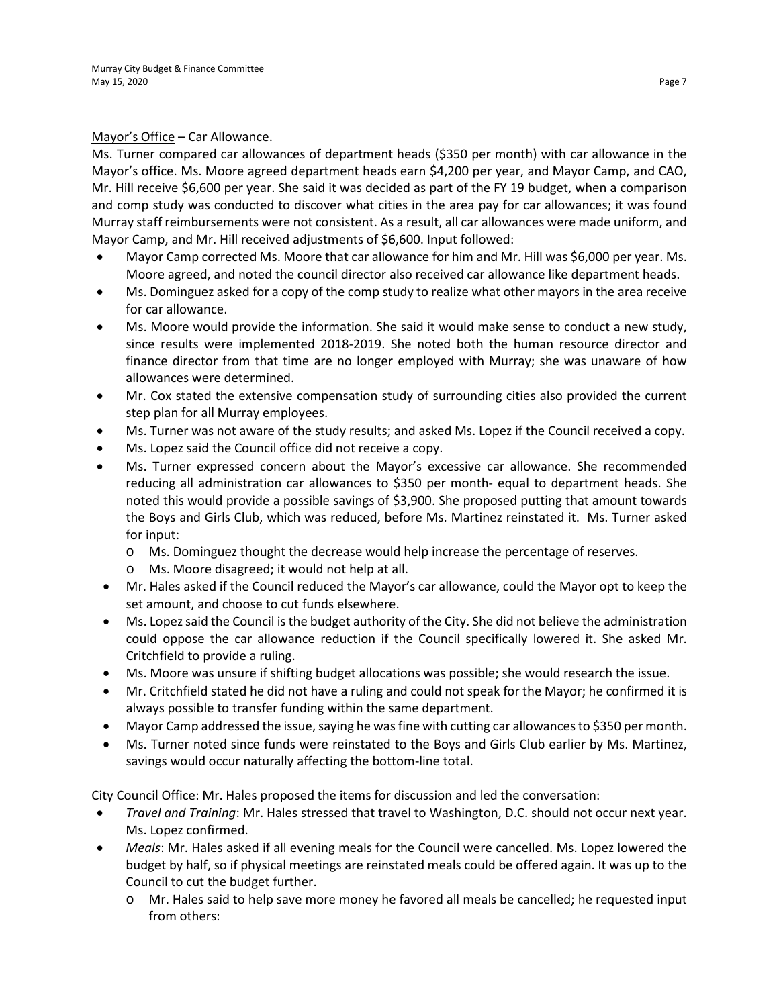#### Mayor's Office – Car Allowance.

Ms. Turner compared car allowances of department heads (\$350 per month) with car allowance in the Mayor's office. Ms. Moore agreed department heads earn \$4,200 per year, and Mayor Camp, and CAO, Mr. Hill receive \$6,600 per year. She said it was decided as part of the FY 19 budget, when a comparison and comp study was conducted to discover what cities in the area pay for car allowances; it was found Murray staff reimbursements were not consistent. As a result, all car allowances were made uniform, and Mayor Camp, and Mr. Hill received adjustments of \$6,600. Input followed:

- Mayor Camp corrected Ms. Moore that car allowance for him and Mr. Hill was \$6,000 per year. Ms. Moore agreed, and noted the council director also received car allowance like department heads.
- Ms. Dominguez asked for a copy of the comp study to realize what other mayors in the area receive for car allowance.
- Ms. Moore would provide the information. She said it would make sense to conduct a new study, since results were implemented 2018-2019. She noted both the human resource director and finance director from that time are no longer employed with Murray; she was unaware of how allowances were determined.
- Mr. Cox stated the extensive compensation study of surrounding cities also provided the current step plan for all Murray employees.
- Ms. Turner was not aware of the study results; and asked Ms. Lopez if the Council received a copy.
- Ms. Lopez said the Council office did not receive a copy.
- Ms. Turner expressed concern about the Mayor's excessive car allowance. She recommended reducing all administration car allowances to \$350 per month- equal to department heads. She noted this would provide a possible savings of \$3,900. She proposed putting that amount towards the Boys and Girls Club, which was reduced, before Ms. Martinez reinstated it. Ms. Turner asked for input:
	- o Ms. Dominguez thought the decrease would help increase the percentage of reserves.
	- o Ms. Moore disagreed; it would not help at all.
- Mr. Hales asked if the Council reduced the Mayor's car allowance, could the Mayor opt to keep the set amount, and choose to cut funds elsewhere.
- Ms. Lopez said the Council is the budget authority of the City. She did not believe the administration could oppose the car allowance reduction if the Council specifically lowered it. She asked Mr. Critchfield to provide a ruling.
- Ms. Moore was unsure if shifting budget allocations was possible; she would research the issue.
- Mr. Critchfield stated he did not have a ruling and could not speak for the Mayor; he confirmed it is always possible to transfer funding within the same department.
- Mayor Camp addressed the issue, saying he was fine with cutting car allowances to \$350 per month.
- Ms. Turner noted since funds were reinstated to the Boys and Girls Club earlier by Ms. Martinez, savings would occur naturally affecting the bottom-line total.

City Council Office: Mr. Hales proposed the items for discussion and led the conversation:

- *Travel and Training*: Mr. Hales stressed that travel to Washington, D.C. should not occur next year. Ms. Lopez confirmed.
- *Meals*: Mr. Hales asked if all evening meals for the Council were cancelled. Ms. Lopez lowered the budget by half, so if physical meetings are reinstated meals could be offered again. It was up to the Council to cut the budget further.
	- o Mr. Hales said to help save more money he favored all meals be cancelled; he requested input from others: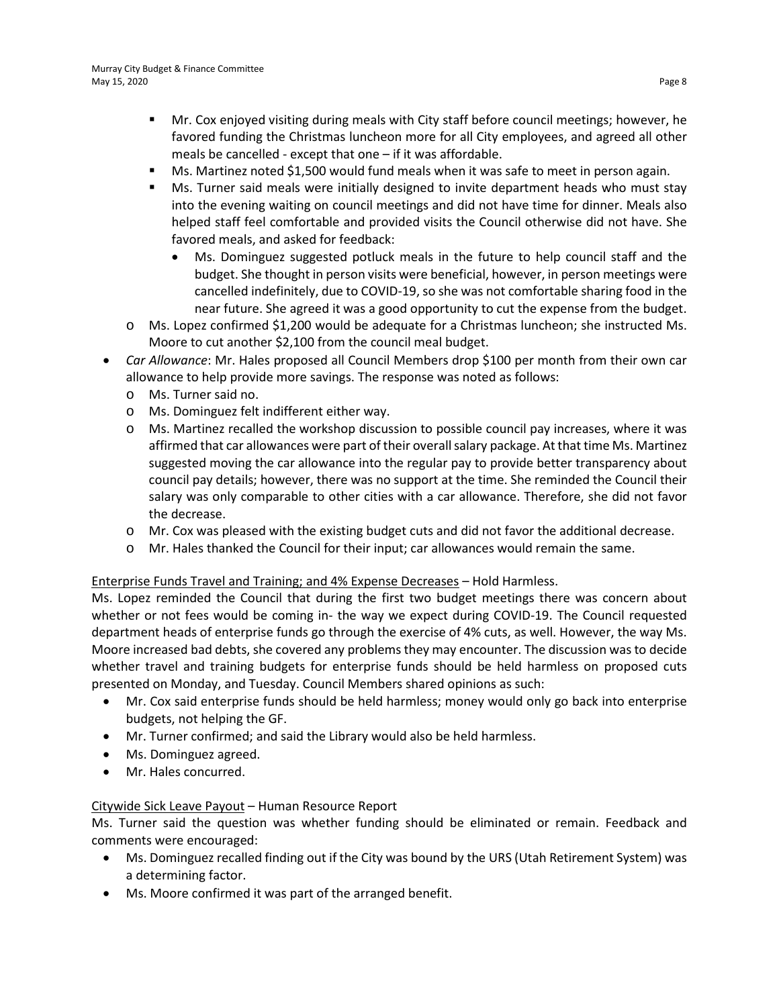- Mr. Cox enjoyed visiting during meals with City staff before council meetings; however, he favored funding the Christmas luncheon more for all City employees, and agreed all other meals be cancelled - except that one – if it was affordable.
- Ms. Martinez noted \$1,500 would fund meals when it was safe to meet in person again.
- **MIS.** Turner said meals were initially designed to invite department heads who must stay into the evening waiting on council meetings and did not have time for dinner. Meals also helped staff feel comfortable and provided visits the Council otherwise did not have. She favored meals, and asked for feedback:
	- Ms. Dominguez suggested potluck meals in the future to help council staff and the budget. She thought in person visits were beneficial, however, in person meetings were cancelled indefinitely, due to COVID-19, so she was not comfortable sharing food in the near future. She agreed it was a good opportunity to cut the expense from the budget.
- o Ms. Lopez confirmed \$1,200 would be adequate for a Christmas luncheon; she instructed Ms. Moore to cut another \$2,100 from the council meal budget.
- *Car Allowance*: Mr. Hales proposed all Council Members drop \$100 per month from their own car allowance to help provide more savings. The response was noted as follows:
	- o Ms. Turner said no.
	- o Ms. Dominguez felt indifferent either way.
	- o Ms. Martinez recalled the workshop discussion to possible council pay increases, where it was affirmed that car allowances were part of their overall salary package. At that time Ms. Martinez suggested moving the car allowance into the regular pay to provide better transparency about council pay details; however, there was no support at the time. She reminded the Council their salary was only comparable to other cities with a car allowance. Therefore, she did not favor the decrease.
	- o Mr. Cox was pleased with the existing budget cuts and did not favor the additional decrease.
	- o Mr. Hales thanked the Council for their input; car allowances would remain the same.

#### Enterprise Funds Travel and Training; and 4% Expense Decreases – Hold Harmless.

Ms. Lopez reminded the Council that during the first two budget meetings there was concern about whether or not fees would be coming in- the way we expect during COVID-19. The Council requested department heads of enterprise funds go through the exercise of 4% cuts, as well. However, the way Ms. Moore increased bad debts, she covered any problems they may encounter. The discussion was to decide whether travel and training budgets for enterprise funds should be held harmless on proposed cuts presented on Monday, and Tuesday. Council Members shared opinions as such:

- Mr. Cox said enterprise funds should be held harmless; money would only go back into enterprise budgets, not helping the GF.
- Mr. Turner confirmed; and said the Library would also be held harmless.
- Ms. Dominguez agreed.
- Mr. Hales concurred.

#### Citywide Sick Leave Payout – Human Resource Report

Ms. Turner said the question was whether funding should be eliminated or remain. Feedback and comments were encouraged:

- Ms. Dominguez recalled finding out if the City was bound by the URS (Utah Retirement System) was a determining factor.
- Ms. Moore confirmed it was part of the arranged benefit.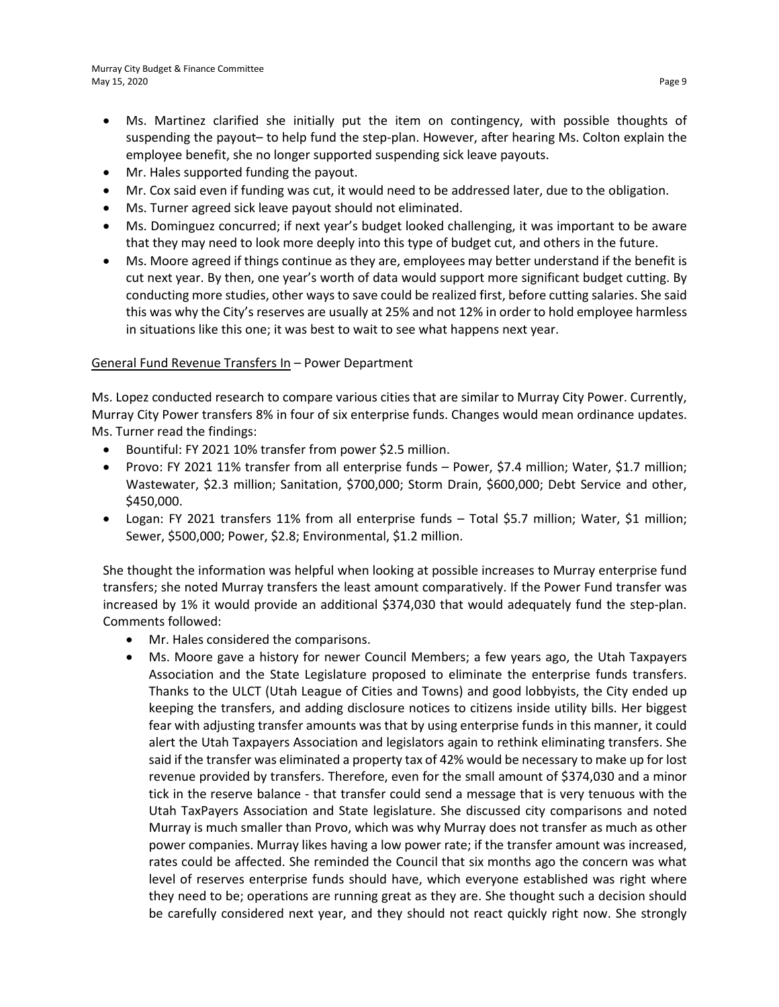- Ms. Martinez clarified she initially put the item on contingency, with possible thoughts of suspending the payout– to help fund the step-plan. However, after hearing Ms. Colton explain the employee benefit, she no longer supported suspending sick leave payouts.
- Mr. Hales supported funding the payout.
- Mr. Cox said even if funding was cut, it would need to be addressed later, due to the obligation.
- Ms. Turner agreed sick leave payout should not eliminated.
- Ms. Dominguez concurred; if next year's budget looked challenging, it was important to be aware that they may need to look more deeply into this type of budget cut, and others in the future.
- Ms. Moore agreed if things continue as they are, employees may better understand if the benefit is cut next year. By then, one year's worth of data would support more significant budget cutting. By conducting more studies, other ways to save could be realized first, before cutting salaries. She said this was why the City's reserves are usually at 25% and not 12% in order to hold employee harmless in situations like this one; it was best to wait to see what happens next year.

#### General Fund Revenue Transfers In – Power Department

Ms. Lopez conducted research to compare various cities that are similar to Murray City Power. Currently, Murray City Power transfers 8% in four of six enterprise funds. Changes would mean ordinance updates. Ms. Turner read the findings:

- Bountiful: FY 2021 10% transfer from power \$2.5 million.
- Provo: FY 2021 11% transfer from all enterprise funds Power, \$7.4 million; Water, \$1.7 million; Wastewater, \$2.3 million; Sanitation, \$700,000; Storm Drain, \$600,000; Debt Service and other, \$450,000.
- Logan: FY 2021 transfers 11% from all enterprise funds Total \$5.7 million; Water, \$1 million; Sewer, \$500,000; Power, \$2.8; Environmental, \$1.2 million.

She thought the information was helpful when looking at possible increases to Murray enterprise fund transfers; she noted Murray transfers the least amount comparatively. If the Power Fund transfer was increased by 1% it would provide an additional \$374,030 that would adequately fund the step-plan. Comments followed:

- Mr. Hales considered the comparisons.
- Ms. Moore gave a history for newer Council Members; a few years ago, the Utah Taxpayers Association and the State Legislature proposed to eliminate the enterprise funds transfers. Thanks to the ULCT (Utah League of Cities and Towns) and good lobbyists, the City ended up keeping the transfers, and adding disclosure notices to citizens inside utility bills. Her biggest fear with adjusting transfer amounts was that by using enterprise funds in this manner, it could alert the Utah Taxpayers Association and legislators again to rethink eliminating transfers. She said if the transfer was eliminated a property tax of 42% would be necessary to make up for lost revenue provided by transfers. Therefore, even for the small amount of \$374,030 and a minor tick in the reserve balance - that transfer could send a message that is very tenuous with the Utah TaxPayers Association and State legislature. She discussed city comparisons and noted Murray is much smaller than Provo, which was why Murray does not transfer as much as other power companies. Murray likes having a low power rate; if the transfer amount was increased, rates could be affected. She reminded the Council that six months ago the concern was what level of reserves enterprise funds should have, which everyone established was right where they need to be; operations are running great as they are. She thought such a decision should be carefully considered next year, and they should not react quickly right now. She strongly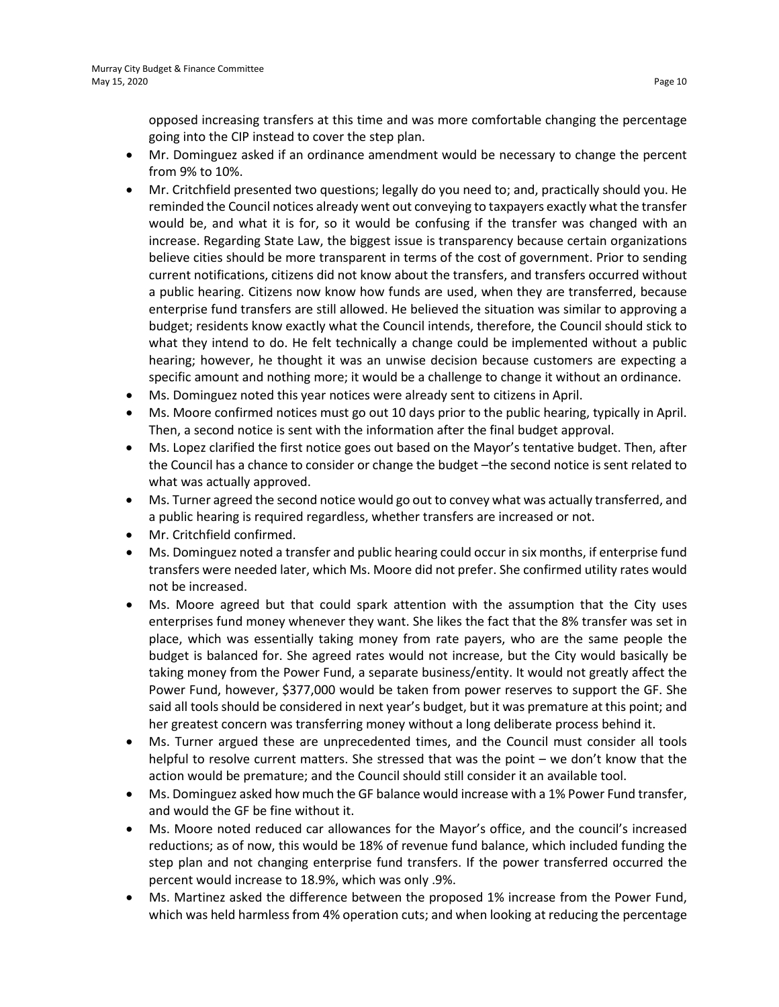opposed increasing transfers at this time and was more comfortable changing the percentage going into the CIP instead to cover the step plan.

- Mr. Dominguez asked if an ordinance amendment would be necessary to change the percent from 9% to 10%.
- Mr. Critchfield presented two questions; legally do you need to; and, practically should you. He reminded the Council notices already went out conveying to taxpayers exactly what the transfer would be, and what it is for, so it would be confusing if the transfer was changed with an increase. Regarding State Law, the biggest issue is transparency because certain organizations believe cities should be more transparent in terms of the cost of government. Prior to sending current notifications, citizens did not know about the transfers, and transfers occurred without a public hearing. Citizens now know how funds are used, when they are transferred, because enterprise fund transfers are still allowed. He believed the situation was similar to approving a budget; residents know exactly what the Council intends, therefore, the Council should stick to what they intend to do. He felt technically a change could be implemented without a public hearing; however, he thought it was an unwise decision because customers are expecting a specific amount and nothing more; it would be a challenge to change it without an ordinance.
- Ms. Dominguez noted this year notices were already sent to citizens in April.
- Ms. Moore confirmed notices must go out 10 days prior to the public hearing, typically in April. Then, a second notice is sent with the information after the final budget approval.
- Ms. Lopez clarified the first notice goes out based on the Mayor's tentative budget. Then, after the Council has a chance to consider or change the budget –the second notice is sent related to what was actually approved.
- Ms. Turner agreed the second notice would go out to convey what was actually transferred, and a public hearing is required regardless, whether transfers are increased or not.
- Mr. Critchfield confirmed.
- Ms. Dominguez noted a transfer and public hearing could occur in six months, if enterprise fund transfers were needed later, which Ms. Moore did not prefer. She confirmed utility rates would not be increased.
- Ms. Moore agreed but that could spark attention with the assumption that the City uses enterprises fund money whenever they want. She likes the fact that the 8% transfer was set in place, which was essentially taking money from rate payers, who are the same people the budget is balanced for. She agreed rates would not increase, but the City would basically be taking money from the Power Fund, a separate business/entity. It would not greatly affect the Power Fund, however, \$377,000 would be taken from power reserves to support the GF. She said all tools should be considered in next year's budget, but it was premature at this point; and her greatest concern was transferring money without a long deliberate process behind it.
- Ms. Turner argued these are unprecedented times, and the Council must consider all tools helpful to resolve current matters. She stressed that was the point – we don't know that the action would be premature; and the Council should still consider it an available tool.
- Ms. Dominguez asked how much the GF balance would increase with a 1% Power Fund transfer, and would the GF be fine without it.
- Ms. Moore noted reduced car allowances for the Mayor's office, and the council's increased reductions; as of now, this would be 18% of revenue fund balance, which included funding the step plan and not changing enterprise fund transfers. If the power transferred occurred the percent would increase to 18.9%, which was only .9%.
- Ms. Martinez asked the difference between the proposed 1% increase from the Power Fund, which was held harmless from 4% operation cuts; and when looking at reducing the percentage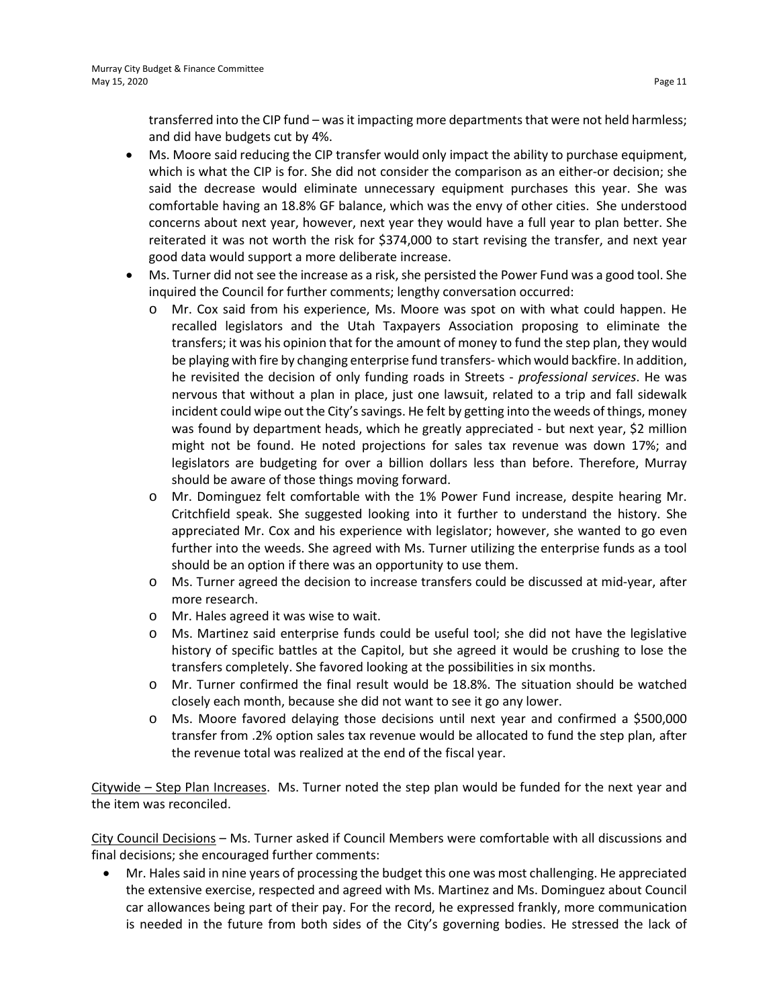transferred into the CIP fund – was it impacting more departments that were not held harmless; and did have budgets cut by 4%.

- Ms. Moore said reducing the CIP transfer would only impact the ability to purchase equipment, which is what the CIP is for. She did not consider the comparison as an either-or decision; she said the decrease would eliminate unnecessary equipment purchases this year. She was comfortable having an 18.8% GF balance, which was the envy of other cities. She understood concerns about next year, however, next year they would have a full year to plan better. She reiterated it was not worth the risk for \$374,000 to start revising the transfer, and next year good data would support a more deliberate increase.
- Ms. Turner did not see the increase as a risk, she persisted the Power Fund was a good tool. She inquired the Council for further comments; lengthy conversation occurred:
	- o Mr. Cox said from his experience, Ms. Moore was spot on with what could happen. He recalled legislators and the Utah Taxpayers Association proposing to eliminate the transfers; it was his opinion that for the amount of money to fund the step plan, they would be playing with fire by changing enterprise fund transfers- which would backfire. In addition, he revisited the decision of only funding roads in Streets - *professional services*. He was nervous that without a plan in place, just one lawsuit, related to a trip and fall sidewalk incident could wipe out the City's savings. He felt by getting into the weeds of things, money was found by department heads, which he greatly appreciated - but next year, \$2 million might not be found. He noted projections for sales tax revenue was down 17%; and legislators are budgeting for over a billion dollars less than before. Therefore, Murray should be aware of those things moving forward.
	- o Mr. Dominguez felt comfortable with the 1% Power Fund increase, despite hearing Mr. Critchfield speak. She suggested looking into it further to understand the history. She appreciated Mr. Cox and his experience with legislator; however, she wanted to go even further into the weeds. She agreed with Ms. Turner utilizing the enterprise funds as a tool should be an option if there was an opportunity to use them.
	- o Ms. Turner agreed the decision to increase transfers could be discussed at mid-year, after more research.
	- o Mr. Hales agreed it was wise to wait.
	- o Ms. Martinez said enterprise funds could be useful tool; she did not have the legislative history of specific battles at the Capitol, but she agreed it would be crushing to lose the transfers completely. She favored looking at the possibilities in six months.
	- o Mr. Turner confirmed the final result would be 18.8%. The situation should be watched closely each month, because she did not want to see it go any lower.
	- o Ms. Moore favored delaying those decisions until next year and confirmed a \$500,000 transfer from .2% option sales tax revenue would be allocated to fund the step plan, after the revenue total was realized at the end of the fiscal year.

Citywide – Step Plan Increases. Ms. Turner noted the step plan would be funded for the next year and the item was reconciled.

City Council Decisions – Ms. Turner asked if Council Members were comfortable with all discussions and final decisions; she encouraged further comments:

• Mr. Hales said in nine years of processing the budget this one was most challenging. He appreciated the extensive exercise, respected and agreed with Ms. Martinez and Ms. Dominguez about Council car allowances being part of their pay. For the record, he expressed frankly, more communication is needed in the future from both sides of the City's governing bodies. He stressed the lack of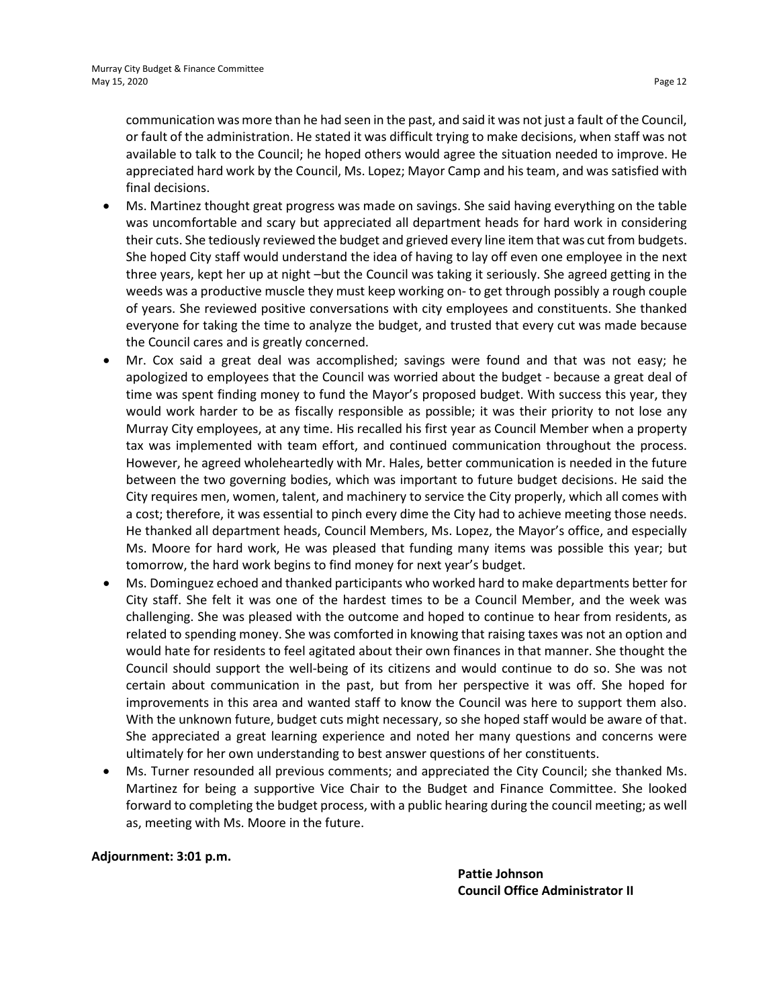communication was more than he had seen in the past, and said it was not just a fault of the Council, or fault of the administration. He stated it was difficult trying to make decisions, when staff was not available to talk to the Council; he hoped others would agree the situation needed to improve. He appreciated hard work by the Council, Ms. Lopez; Mayor Camp and his team, and was satisfied with final decisions.

- Ms. Martinez thought great progress was made on savings. She said having everything on the table was uncomfortable and scary but appreciated all department heads for hard work in considering their cuts. She tediously reviewed the budget and grieved every line item that was cut from budgets. She hoped City staff would understand the idea of having to lay off even one employee in the next three years, kept her up at night –but the Council was taking it seriously. She agreed getting in the weeds was a productive muscle they must keep working on- to get through possibly a rough couple of years. She reviewed positive conversations with city employees and constituents. She thanked everyone for taking the time to analyze the budget, and trusted that every cut was made because the Council cares and is greatly concerned.
- Mr. Cox said a great deal was accomplished; savings were found and that was not easy; he apologized to employees that the Council was worried about the budget - because a great deal of time was spent finding money to fund the Mayor's proposed budget. With success this year, they would work harder to be as fiscally responsible as possible; it was their priority to not lose any Murray City employees, at any time. His recalled his first year as Council Member when a property tax was implemented with team effort, and continued communication throughout the process. However, he agreed wholeheartedly with Mr. Hales, better communication is needed in the future between the two governing bodies, which was important to future budget decisions. He said the City requires men, women, talent, and machinery to service the City properly, which all comes with a cost; therefore, it was essential to pinch every dime the City had to achieve meeting those needs. He thanked all department heads, Council Members, Ms. Lopez, the Mayor's office, and especially Ms. Moore for hard work, He was pleased that funding many items was possible this year; but tomorrow, the hard work begins to find money for next year's budget.
- Ms. Dominguez echoed and thanked participants who worked hard to make departments better for City staff. She felt it was one of the hardest times to be a Council Member, and the week was challenging. She was pleased with the outcome and hoped to continue to hear from residents, as related to spending money. She was comforted in knowing that raising taxes was not an option and would hate for residents to feel agitated about their own finances in that manner. She thought the Council should support the well-being of its citizens and would continue to do so. She was not certain about communication in the past, but from her perspective it was off. She hoped for improvements in this area and wanted staff to know the Council was here to support them also. With the unknown future, budget cuts might necessary, so she hoped staff would be aware of that. She appreciated a great learning experience and noted her many questions and concerns were ultimately for her own understanding to best answer questions of her constituents.
- Ms. Turner resounded all previous comments; and appreciated the City Council; she thanked Ms. Martinez for being a supportive Vice Chair to the Budget and Finance Committee. She looked forward to completing the budget process, with a public hearing during the council meeting; as well as, meeting with Ms. Moore in the future.

**Adjournment: 3:01 p.m.**

**Pattie Johnson Council Office Administrator II**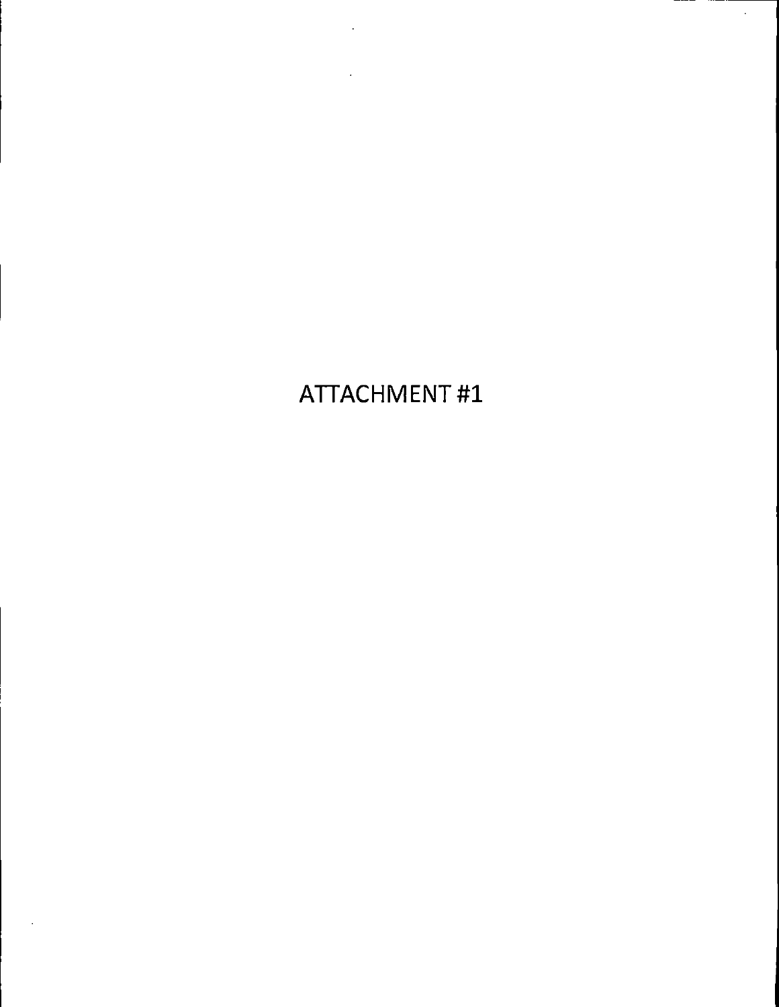ATTACHMENT #1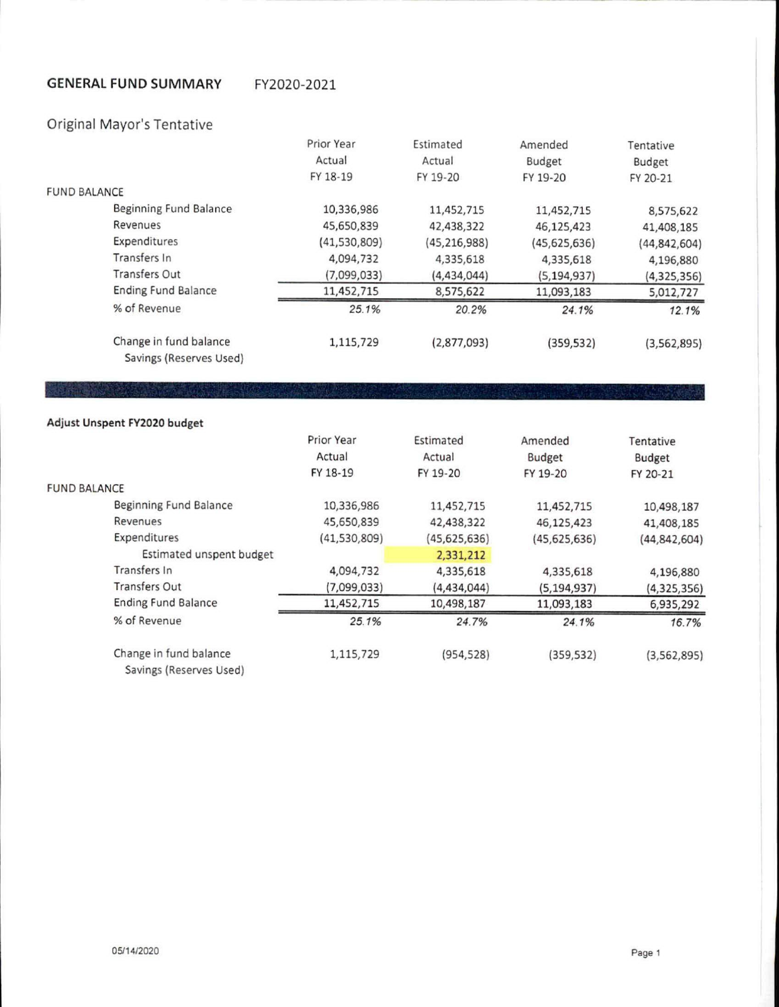#### **GENERAL FUND SUMMARY** FY2020-2021

### Original Mayor's Tentative

|                                                   | Prior Year   | Estimated      | Amended        | Tentative      |
|---------------------------------------------------|--------------|----------------|----------------|----------------|
|                                                   | Actual       | Actual         | Budget         | Budget         |
|                                                   | FY 18-19     | FY 19-20       | FY 19-20       | FY 20-21       |
| <b>FUND BALANCE</b>                               |              |                |                |                |
| Beginning Fund Balance                            | 10,336,986   | 11,452,715     | 11,452,715     | 8,575,622      |
| Revenues                                          | 45,650,839   | 42,438,322     | 46,125,423     | 41,408,185     |
| Expenditures                                      | (41,530,809) | (45, 216, 988) | (45, 625, 636) | (44, 842, 604) |
| Transfers In                                      | 4,094,732    | 4,335,618      | 4,335,618      | 4,196,880      |
| Transfers Out                                     | (7,099,033)  | (4,434,044)    | (5, 194, 937)  | (4,325,356)    |
| <b>Ending Fund Balance</b>                        | 11,452,715   | 8,575,622      | 11,093,183     | 5,012,727      |
| % of Revenue                                      | 25.1%        | 20.2%          | 24.1%          | 12.1%          |
| Change in fund balance<br>Savings (Reserves Used) | 1,115,729    | (2,877,093)    | (359, 532)     | (3, 562, 895)  |

### Adjust Unspent FY2020 budget

| <b>FUND BALANCE</b>                               | Prior Year<br>Actual<br>FY 18-19 | Estimated<br>Actual<br>FY 19-20 | Amended<br>Budget<br>FY 19-20 | Tentative<br>Budget<br>FY 20-21 |
|---------------------------------------------------|----------------------------------|---------------------------------|-------------------------------|---------------------------------|
|                                                   |                                  |                                 |                               |                                 |
| Beginning Fund Balance                            | 10,336,986                       | 11,452,715                      | 11,452,715                    | 10,498,187                      |
| Revenues                                          | 45,650,839                       | 42,438,322                      | 46,125,423                    | 41,408,185                      |
| Expenditures                                      | (41,530,809)                     | (45, 625, 636)                  | (45, 625, 636)                | (44, 842, 604)                  |
| Estimated unspent budget                          |                                  | 2,331,212                       |                               |                                 |
| Transfers In                                      | 4,094,732                        | 4,335,618                       | 4,335,618                     | 4,196,880                       |
| <b>Transfers Out</b>                              | (7,099,033)                      | (4,434,044)                     | (5, 194, 937)                 | (4, 325, 356)                   |
| <b>Ending Fund Balance</b>                        | 11,452,715                       | 10,498,187                      | 11,093,183                    | 6,935,292                       |
| % of Revenue                                      | 25.1%                            | 24.7%                           | 24.1%                         | 16.7%                           |
| Change in fund balance<br>Savings (Reserves Used) | 1,115,729                        | (954, 528)                      | (359, 532)                    | (3, 562, 895)                   |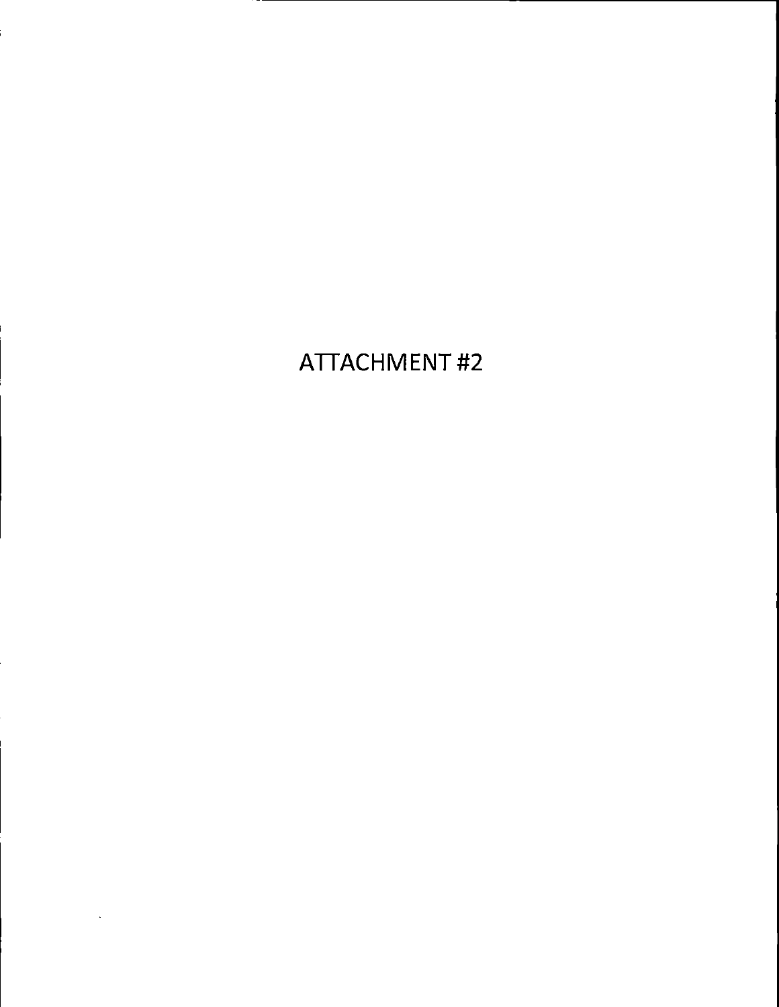# **ATTACHMENT#2**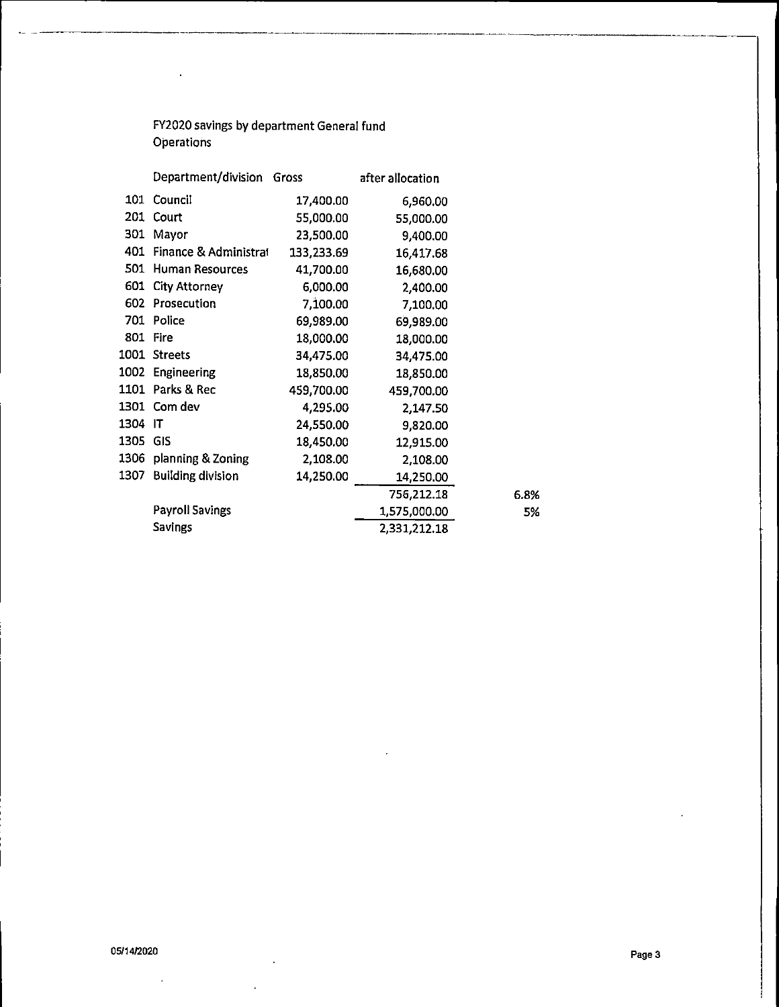FY2020 savings by department General fund Operations

 $\sim 10^7$ 

 $\mathbf{z}_n$ 

|          | Department/division       | Gross      | after allocation |
|----------|---------------------------|------------|------------------|
| 101      | Council                   | 17,400.00  | 6,960.00         |
| 201      | Court                     | 55,000.00  | 55,000.00        |
| 301      | Mayor                     | 23,500.00  | 9,400.00         |
|          | 401 Finance & Administral | 133,233.69 | 16,417.68        |
| 501      | Human Resources           | 41,700.00  | 16,680.00        |
| 601      | <b>City Attorney</b>      | 6,000.00   | 2,400.00         |
| 602.     | Prosecution               | 7,100.00   | 7,100.00         |
| 701      | Police                    | 69,989.00  | 69,989.00        |
| 801      | <b>Fire</b>               | 18,000.00  | 18,000.00        |
|          | 1001 Streets              | 34,475.00  | 34,475.00        |
| 1002     | Engineering               | 18,850.00  | 18,850.00        |
| 1101     | Parks & Rec               | 459,700.00 | 459,700.00       |
|          | 1301 Com dev              | 4,295.00   | 2,147.50         |
| 1304     | -IT                       | 24,550.00  | 9,820.00         |
| 1305 GIS |                           | 18,450.00  | 12,915.00        |
| 1306     | planning & Zoning         | 2,108.00   | 2,108.00         |
| 1307     | <b>Building division</b>  | 14,250.00  | 14,250.00        |
|          |                           |            | 756,212.18       |
|          | <b>Payroll Savings</b>    |            | 1,575,000.00     |
|          | Savings                   |            | 2,331,212.18     |

 $\mathcal{L}$ 

 $\ddot{\phantom{1}}$ 

 $\overline{a}$ 

6.8% 5%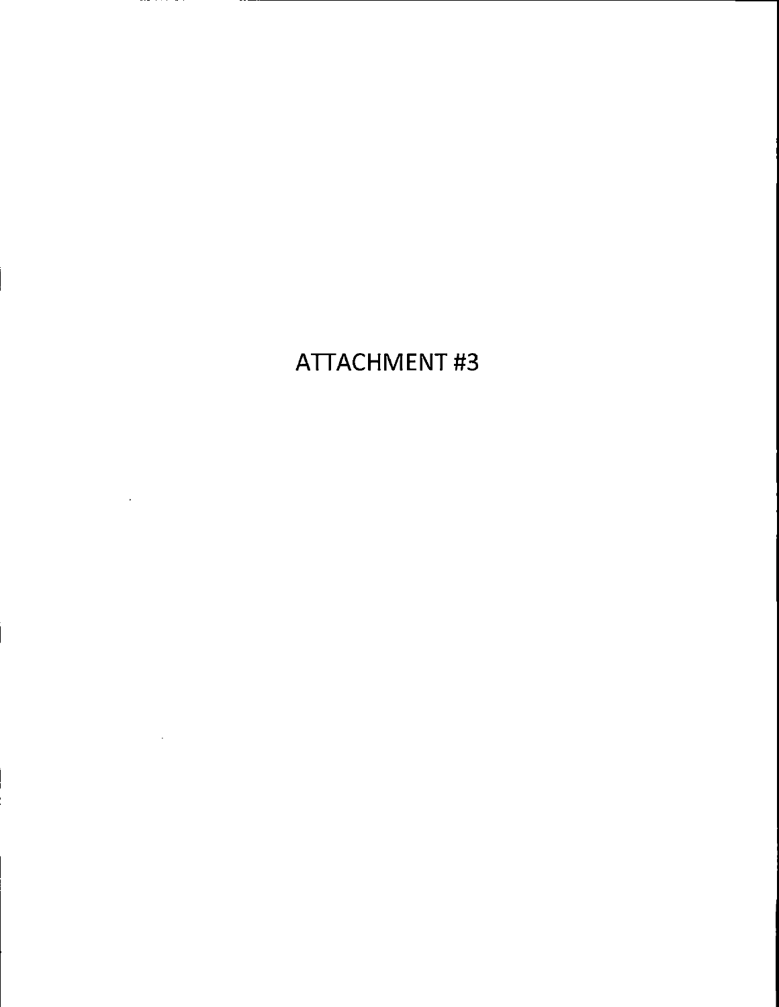# **ATTACHMENT#3**

п.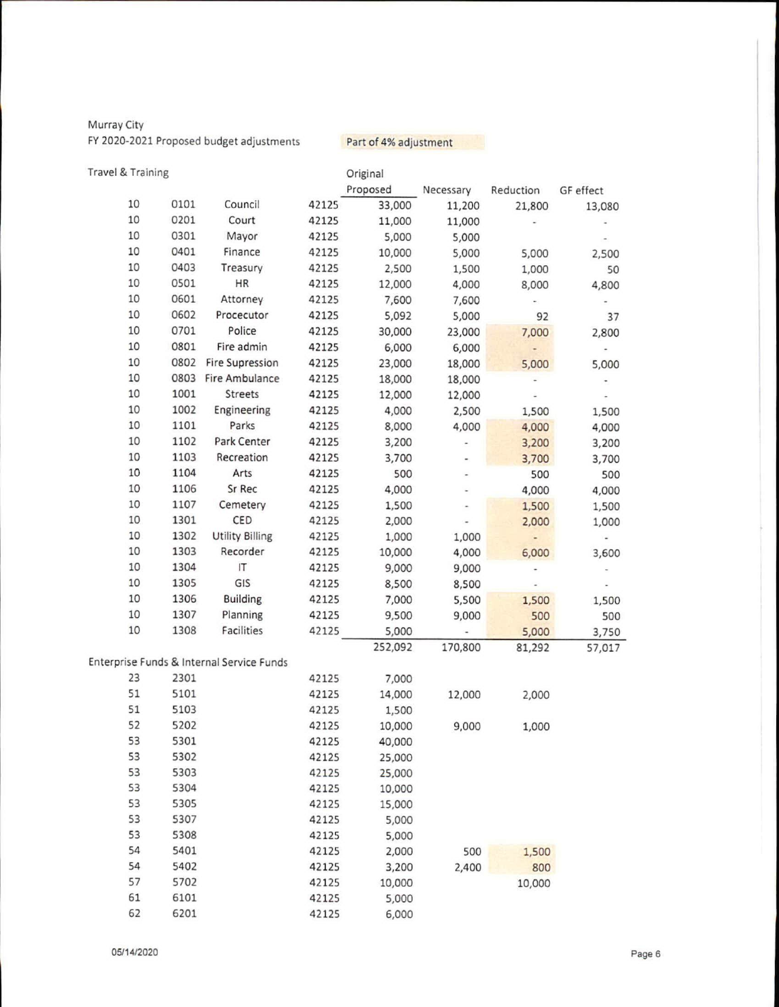Murray City FY 2020-2021 Proposed budget adjustments

Part of 4% adjustment

| Travel & Training |      |                                           |       | Original |               |           |           |
|-------------------|------|-------------------------------------------|-------|----------|---------------|-----------|-----------|
|                   |      |                                           |       | Proposed | Necessary     | Reduction | GF effect |
| 10                | 0101 | Council                                   | 42125 | 33,000   | 11,200        | 21,800    | 13,080    |
| 10                | 0201 | Court                                     | 42125 | 11,000   | 11,000        |           |           |
| 10                | 0301 | Mayor                                     | 42125 | 5,000    | 5,000         |           |           |
| 10                | 0401 | Finance                                   | 42125 | 10,000   | 5,000         | 5,000     | 2,500     |
| 10                | 0403 | Treasury                                  | 42125 | 2,500    | 1,500         | 1,000     | 50        |
| 10                | 0501 | HR                                        | 42125 | 12,000   | 4,000         | 8,000     | 4,800     |
| 10                | 0601 | Attorney                                  | 42125 | 7,600    | 7,600         |           |           |
| 10                | 0602 | Procecutor                                | 42125 | 5,092    | 5,000         | 92        | 37        |
| 10                | 0701 | Police                                    | 42125 | 30,000   | 23,000        | 7,000     | 2,800     |
| 10                | 0801 | Fire admin                                | 42125 | 6,000    | 6,000         | $\bullet$ |           |
| 10                | 0802 | <b>Fire Supression</b>                    | 42125 | 23,000   | 18,000        | 5,000     | 5,000     |
| 10                | 0803 | Fire Ambulance                            | 42125 | 18,000   | 18,000        |           |           |
| 10                | 1001 | Streets                                   | 42125 | 12,000   | 12,000        |           |           |
| 10                | 1002 | Engineering                               | 42125 | 4,000    | 2,500         | 1,500     | 1,500     |
| 10                | 1101 | Parks                                     | 42125 | 8,000    | 4,000         | 4,000     | 4,000     |
| 10                | 1102 | Park Center                               | 42125 | 3,200    | -             | 3,200     | 3,200     |
| 10                | 1103 | Recreation                                | 42125 | 3,700    |               | 3,700     | 3,700     |
| 10                | 1104 | Arts                                      | 42125 | 500      | $\frac{1}{2}$ | 500       | 500       |
| 10                | 1106 | Sr Rec                                    | 42125 | 4,000    | ٠             | 4,000     | 4,000     |
| 10                | 1107 | Cemetery                                  | 42125 | 1,500    |               | 1,500     |           |
| 10                | 1301 | CED                                       | 42125 | 2,000    |               | 2,000     | 1,500     |
| 10                | 1302 | <b>Utility Billing</b>                    | 42125 | 1,000    | 1,000         |           | 1,000     |
| 10                | 1303 | Recorder                                  | 42125 | 10,000   | 4,000         | 6,000     |           |
| 10                | 1304 | IT                                        | 42125 | 9,000    | 9,000         |           | 3,600     |
| 10                | 1305 | GIS                                       | 42125 | 8,500    |               |           |           |
| 10                | 1306 | <b>Building</b>                           |       |          | 8,500         |           |           |
| 10                | 1307 |                                           | 42125 | 7,000    | 5,500         | 1,500     | 1,500     |
| 10                |      | Planning                                  | 42125 | 9,500    | 9,000         | 500       | 500       |
|                   | 1308 | Facilities                                | 42125 | 5,000    |               | 5,000     | 3,750     |
|                   |      |                                           |       | 252,092  | 170,800       | 81,292    | 57,017    |
|                   |      | Enterprise Funds & Internal Service Funds |       |          |               |           |           |
| 23                | 2301 |                                           | 42125 | 7,000    |               |           |           |
| 51                | 5101 |                                           | 42125 | 14,000   | 12,000        | 2,000     |           |
| 51                | 5103 |                                           | 42125 | 1,500    |               |           |           |
| 52                | 5202 |                                           | 42125 | 10,000   | 9,000         | 1,000     |           |
| 53                | 5301 |                                           | 42125 | 40,000   |               |           |           |
| 53                | 5302 |                                           | 42125 | 25,000   |               |           |           |
| 53                | 5303 |                                           | 42125 | 25,000   |               |           |           |
| 53                | 5304 |                                           | 42125 | 10,000   |               |           |           |
| 53                | 5305 |                                           | 42125 | 15,000   |               |           |           |
| 53                | 5307 |                                           | 42125 | 5,000    |               |           |           |
| 53                | 5308 |                                           | 42125 | 5,000    |               |           |           |
| 54                | 5401 |                                           | 42125 | 2,000    | 500           | 1,500     |           |
| 54                | 5402 |                                           | 42125 | 3,200    | 2,400         | 800       |           |
| 57                | 5702 |                                           | 42125 | 10,000   |               | 10,000    |           |
| 61                | 6101 |                                           | 42125 | 5,000    |               |           |           |
| 62                | 6201 |                                           | 42125 | 6,000    |               |           |           |